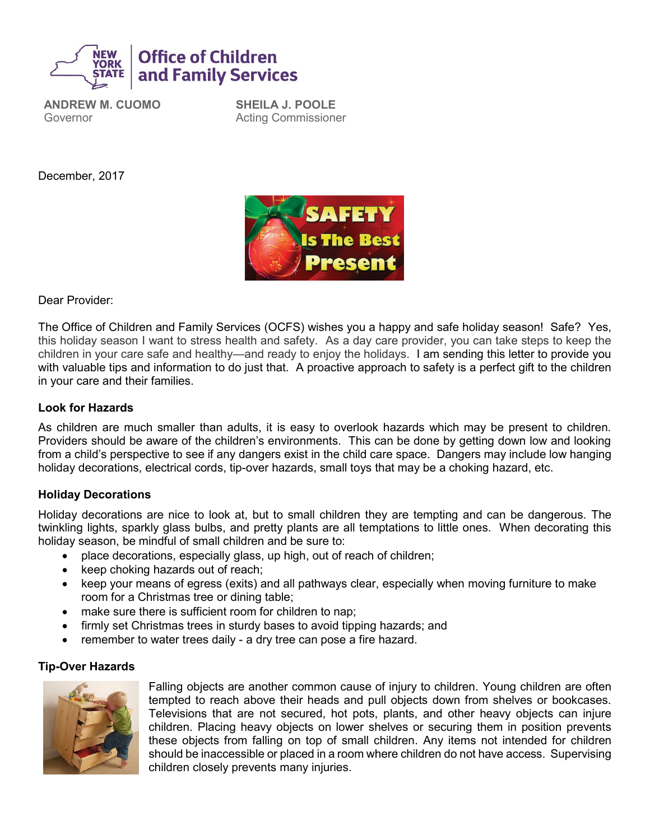

**ANDREW M. CUOMO** Governor

**SHEILA J. POOLE** Acting Commissioner

December, 2017



Dear Provider:

The Office of Children and Family Services (OCFS) wishes you a happy and safe holiday season! Safe? Yes, this holiday season I want to stress health and safety. As a day care provider, you can take steps to keep the children in your care safe and healthy—and ready to enjoy the holidays. I am sending this letter to provide you with valuable tips and information to do just that. A proactive approach to safety is a perfect gift to the children in your care and their families.

#### **Look for Hazards**

As children are much smaller than adults, it is easy to overlook hazards which may be present to children. Providers should be aware of the children's environments. This can be done by getting down low and looking from a child's perspective to see if any dangers exist in the child care space. Dangers may include low hanging holiday decorations, electrical cords, tip-over hazards, small toys that may be a choking hazard, etc.

#### **Holiday Decorations**

Holiday decorations are nice to look at, but to small children they are tempting and can be dangerous. The twinkling lights, sparkly glass bulbs, and pretty plants are all temptations to little ones. When decorating this holiday season, be mindful of small children and be sure to:

- place decorations, especially glass, up high, out of reach of children;
- keep choking hazards out of reach;
- keep your means of egress (exits) and all pathways clear, especially when moving furniture to make room for a Christmas tree or dining table;
- make sure there is sufficient room for children to nap;
- firmly set Christmas trees in sturdy bases to avoid tipping hazards; and
- remember to water trees daily a dry tree can pose a fire hazard.

#### **Tip-Over Hazards**



Falling objects are another common cause of injury to children. Young children are often tempted to reach above their heads and pull objects down from shelves or bookcases. Televisions that are not secured, hot pots, plants, and other heavy objects can injure children. Placing heavy objects on lower shelves or securing them in position prevents these objects from falling on top of small children. Any items not intended for children should be inaccessible or placed in a room where children do not have access. Supervising children closely prevents many injuries.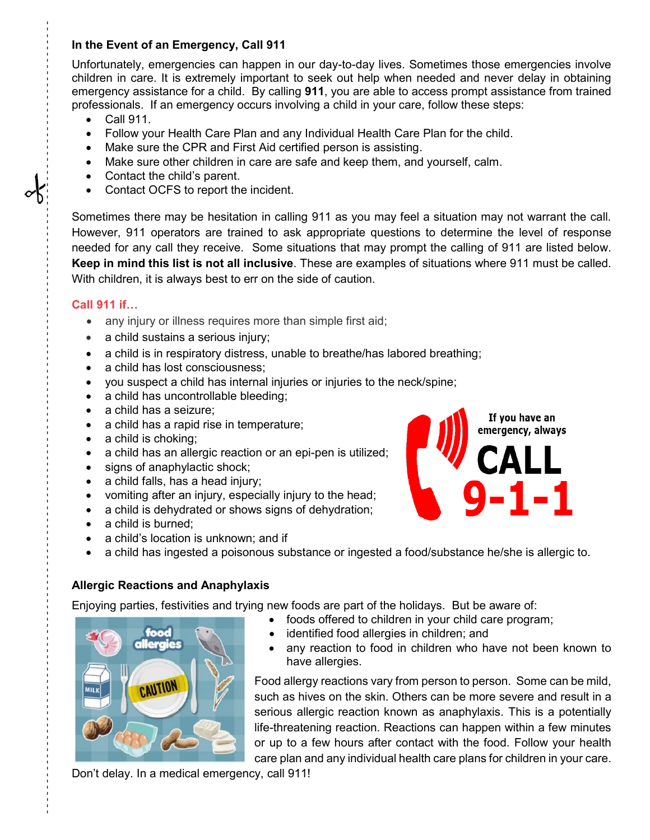# **In the Event of an Emergency, Call 911**

Unfortunately, emergencies can happen in our day-to-day lives. Sometimes those emergencies involve children in care. It is extremely important to seek out help when needed and never delay in obtaining emergency assistance for a child. By calling **911**, you are able to access prompt assistance from trained professionals. If an emergency occurs involving a child in your care, follow these steps:

- Call 911.
- Follow your Health Care Plan and any Individual Health Care Plan for the child.
- Make sure the CPR and First Aid certified person is assisting.
- Make sure other children in care are safe and keep them, and yourself, calm.
- Contact the child's parent.
- Contact OCFS to report the incident.

Sometimes there may be hesitation in calling 911 as you may feel a situation may not warrant the call. However, 911 operators are trained to ask appropriate questions to determine the level of response needed for any call they receive. Some situations that may prompt the calling of 911 are listed below. **Keep in mind this list is not all inclusive**. These are examples of situations where 911 must be called. With children, it is always best to err on the side of caution.

# **Call 911 if…**

- - - - - - - - - - - - - - - - - - - - - - - - - - - - - - - - - - - - - - - - - - - - - - - - - - - - - - - - - - - - - - - - - - - - - - - - - - - - - - - - - - - - - - - - - - - - - - - - - - - - - - - - - - - - - - - - - - - - - - - - - - - - - - -

- any injury or illness requires more than simple first aid;
- a child sustains a serious injury;
- a child is in respiratory distress, unable to breathe/has labored breathing;
- a child has lost consciousness;
- you suspect a child has internal injuries or injuries to the neck/spine;
- a child has uncontrollable bleeding;
- a child has a seizure:
- a child has a rapid rise in temperature;
- a child is choking;
- a child has an allergic reaction or an epi-pen is utilized;
- signs of anaphylactic shock;
- a child falls, has a head injury;
- vomiting after an injury, especially injury to the head;
- a child is dehydrated or shows signs of dehydration;
- a child is burned;
- a child's location is unknown; and if
- a child has ingested a poisonous substance or ingested a food/substance he/she is allergic to.

#### **Allergic Reactions and Anaphylaxis**

Enjoying parties, festivities and trying new foods are part of the holidays. But be aware of:

- foods offered to children in your child care program;
- identified food allergies in children; and
- any reaction to food in children who have not been known to have allergies.

Food allergy reactions vary from person to person. Some can be mild, such as hives on the skin. Others can be more severe and result in a serious allergic reaction known as anaphylaxis. This is a potentially life-threatening reaction. Reactions can happen within a few minutes or up to a few hours after contact with the food. Follow your health care plan and any individual health care plans for children in your care.

Don't delay. In a medical emergency, call 911!





-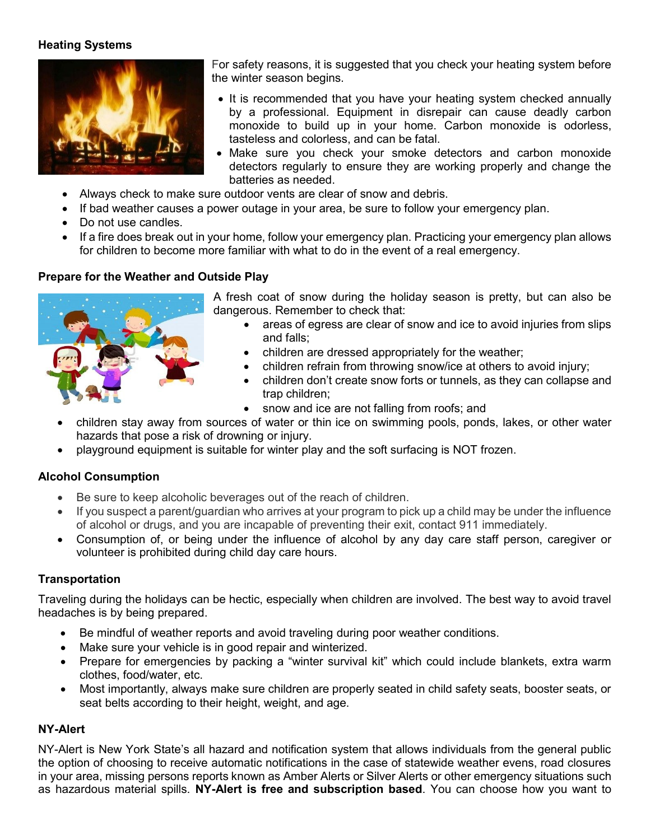# **Heating Systems**



For safety reasons, it is suggested that you check your heating system before the winter season begins.

- It is recommended that you have your heating system checked annually by a professional. Equipment in disrepair can cause deadly carbon monoxide to build up in your home. Carbon monoxide is odorless, tasteless and colorless, and can be fatal.
- Make sure you check your smoke detectors and carbon monoxide detectors regularly to ensure they are working properly and change the batteries as needed.
- Always check to make sure outdoor vents are clear of snow and debris.
- If bad weather causes a power outage in your area, be sure to follow your emergency plan.
- Do not use candles.
- If a fire does break out in your home, follow your emergency plan. Practicing your emergency plan allows for children to become more familiar with what to do in the event of a real emergency.

### **Prepare for the Weather and Outside Play**



A fresh coat of snow during the holiday season is pretty, but can also be dangerous. Remember to check that:

- areas of egress are clear of snow and ice to avoid injuries from slips and falls;
- children are dressed appropriately for the weather;
- children refrain from throwing snow/ice at others to avoid injury;
- children don't create snow forts or tunnels, as they can collapse and trap children;
- snow and ice are not falling from roofs; and
- children stay away from sources of water or thin ice on swimming pools, ponds, lakes, or other water hazards that pose a risk of drowning or injury.
- playground equipment is suitable for winter play and the soft surfacing is NOT frozen.

# **Alcohol Consumption**

- Be sure to keep alcoholic beverages out of the reach of children.
- If you suspect a parent/guardian who arrives at your program to pick up a child may be under the influence of alcohol or drugs, and you are incapable of preventing their exit, contact 911 immediately.
- Consumption of, or being under the influence of alcohol by any day care staff person, caregiver or volunteer is prohibited during child day care hours.

# **Transportation**

Traveling during the holidays can be hectic, especially when children are involved. The best way to avoid travel headaches is by being prepared.

- Be mindful of weather reports and avoid traveling during poor weather conditions.
- Make sure your vehicle is in good repair and winterized.
- Prepare for emergencies by packing a "winter survival kit" which could include blankets, extra warm clothes, food/water, etc.
- Most importantly, always make sure children are properly seated in child safety seats, booster seats, or seat belts according to their height, weight, and age.

# **NY-Alert**

NY-Alert is New York State's all hazard and notification system that allows individuals from the general public the option of choosing to receive automatic notifications in the case of statewide weather evens, road closures in your area, missing persons reports known as Amber Alerts or Silver Alerts or other emergency situations such as hazardous material spills. **NY-Alert is free and subscription based**. You can choose how you want to